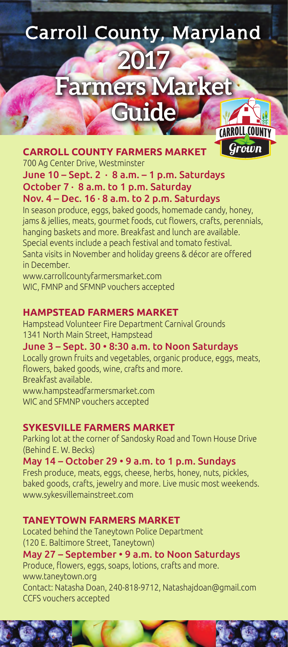# **Carroll County, Maryland 2017 Farmers Market Guide** CARROLL COUNTY

Grown



700 Ag Center Drive, Westminster

#### June 10 – Sept. 2 · 8 a.m. – 1 p.m. Saturdays October 7 · 8 a.m. to 1 p.m. Saturday Nov.  $4 - Dec. 16 \cdot 8$  a.m. to 2 p.m. Saturdays

In season produce, eggs, baked goods, homemade candy, honey, jams & jellies, meats, gourmet foods, cut flowers, crafts, perennials, hanging baskets and more. Breakfast and lunch are available. Special events include a peach festival and tomato festival. Santa visits in November and holiday greens & décor are offered in December.

www.carrollcountyfarmersmarket.com WIC, FMNP and SFMNP vouchers accepted

## **HAMPSTEAD FARMERS MARKET**

Hampstead Volunteer Fire Department Carnival Grounds 1341 North Main Street, Hampstead

June 3 – Sept. 30 • 8:30 a.m. to Noon Saturdays Locally grown fruits and vegetables, organic produce, eggs, meats, flowers, baked goods, wine, crafts and more. Breakfast available.

www.hampsteadfarmersmarket.com

WIC and SFMNP vouchers accepted

## **SYKESVILLE FARMERS MARKET**

Parking lot at the corner of Sandosky Road and Town House Drive (Behind E. W. Becks)

## May 14 – October 29 • 9 a.m. to 1 p.m. Sundays

Fresh produce, meats, eggs, cheese, herbs, honey, nuts, pickles, baked goods, crafts, jewelry and more. Live music most weekends. www.sykesvillemainstreet.com

## **TANEYTOWN FARMERS MARKET**

Located behind the Taneytown Police Department (120 E. Baltimore Street, Taneytown)

May 27 – September • 9 a.m. to Noon Saturdays Produce, flowers, eggs, soaps, lotions, crafts and more. www.taneytown.org Contact: Natasha Doan, 240-818-9712, Natashajdoan@gmail.com CCFS vouchers accepted